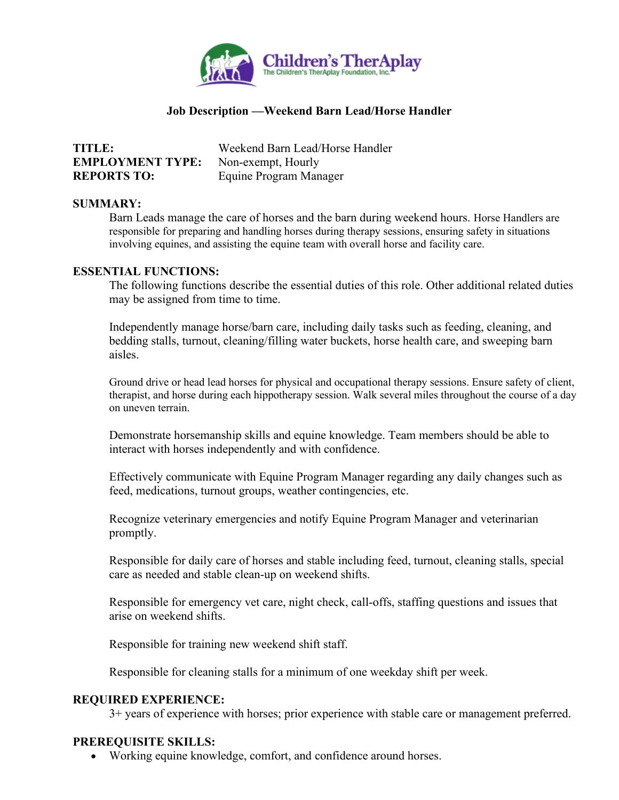

# **Job Description —Weekend Barn Lead/Horse Handler**

| <b>TITLE:</b>           | Weekend Barn Lead/Horse Handler |
|-------------------------|---------------------------------|
| <b>EMPLOYMENT TYPE:</b> | Non-exempt, Hourly              |
| <b>REPORTS TO:</b>      | Equine Program Manager          |

#### **SUMMARY:**

Barn Leads manage the care of horses and the barn during weekend hours. Horse Handlers are responsible for preparing and handling horses during therapy sessions, ensuring safety in situations involving equines, and assisting the equine team with overall horse and facility care.

## **ESSENTIAL FUNCTIONS:**

The following functions describe the essential duties of this role. Other additional related duties may be assigned from time to time.

Independently manage horse/barn care, including daily tasks such as feeding, cleaning, and bedding stalls, turnout, cleaning/filling water buckets, horse health care, and sweeping barn aisles.

Ground drive or head lead horses for physical and occupational therapy sessions. Ensure safety of client, therapist, and horse during each hippotherapy session. Walk several miles throughout the course of a day on uneven terrain.

Demonstrate horsemanship skills and equine knowledge. Team members should be able to interact with horses independently and with confidence.

Effectively communicate with Equine Program Manager regarding any daily changes such as feed, medications, turnout groups, weather contingencies, etc.

Recognize veterinary emergencies and notify Equine Program Manager and veterinarian promptly.

Responsible for daily care of horses and stable including feed, turnout, cleaning stalls, special care as needed and stable clean-up on weekend shifts.

Responsible for emergency vet care, night check, call-offs, staffing questions and issues that arise on weekend shifts.

Responsible for training new weekend shift staff.

Responsible for cleaning stalls for a minimum of one weekday shift per week.

#### **REQUIRED EXPERIENCE:**

3+ years of experience with horses; prior experience with stable care or management preferred.

### **PREREQUISITE SKILLS:**

• Working equine knowledge, comfort, and confidence around horses.